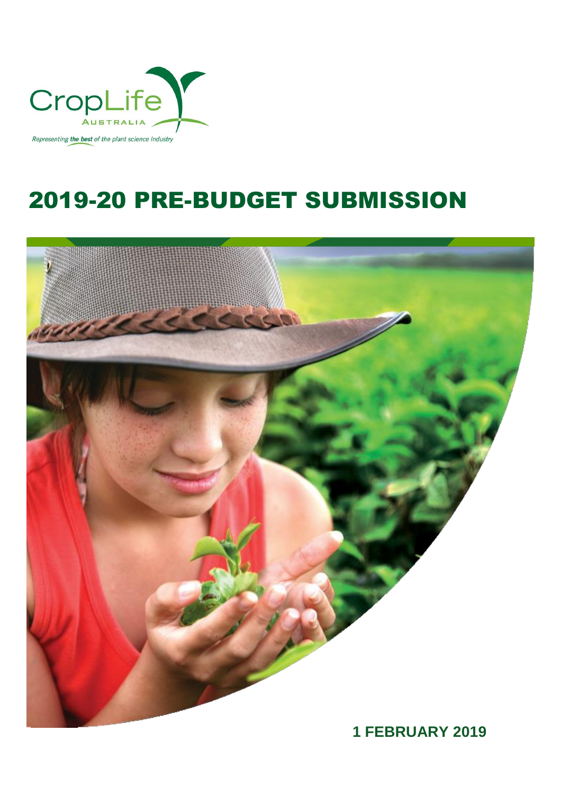

# 2019-20 PRE-BUDGET SUBMISSION

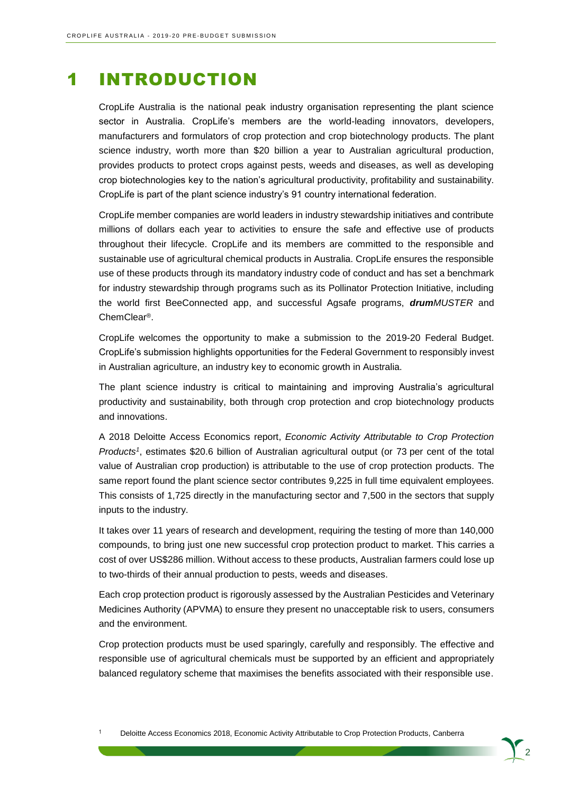## 1 INTRODUCTION

CropLife Australia is the national peak industry organisation representing the plant science sector in Australia. CropLife's members are the world-leading innovators, developers, manufacturers and formulators of crop protection and crop biotechnology products. The plant science industry, worth more than \$20 billion a year to Australian agricultural production, provides products to protect crops against pests, weeds and diseases, as well as developing crop biotechnologies key to the nation's agricultural productivity, profitability and sustainability. CropLife is part of the plant science industry's 91 country international federation.

CropLife member companies are world leaders in industry stewardship initiatives and contribute millions of dollars each year to activities to ensure the safe and effective use of products throughout their lifecycle. CropLife and its members are committed to the responsible and sustainable use of agricultural chemical products in Australia. CropLife ensures the responsible use of these products through its mandatory industry code of conduct and has set a benchmark for industry stewardship through programs such as its Pollinator Protection Initiative, including the world first BeeConnected app, and successful Agsafe programs, *drumMUSTER* and ChemClear®.

CropLife welcomes the opportunity to make a submission to the 2019-20 Federal Budget. CropLife's submission highlights opportunities for the Federal Government to responsibly invest in Australian agriculture, an industry key to economic growth in Australia.

The plant science industry is critical to maintaining and improving Australia's agricultural productivity and sustainability, both through crop protection and crop biotechnology products and innovations.

A 2018 Deloitte Access Economics report, *Economic Activity Attributable to Crop Protection Products<sup>1</sup>* , estimates \$20.6 billion of Australian agricultural output (or 73 per cent of the total value of Australian crop production) is attributable to the use of crop protection products. The same report found the plant science sector contributes 9,225 in full time equivalent employees. This consists of 1,725 directly in the manufacturing sector and 7,500 in the sectors that supply inputs to the industry.

It takes over 11 years of research and development, requiring the testing of more than 140,000 compounds, to bring just one new successful crop protection product to market. This carries a cost of over US\$286 million. Without access to these products, Australian farmers could lose up to two-thirds of their annual production to pests, weeds and diseases.

Each crop protection product is rigorously assessed by the Australian Pesticides and Veterinary Medicines Authority (APVMA) to ensure they present no unacceptable risk to users, consumers and the environment.

Crop protection products must be used sparingly, carefully and responsibly. The effective and responsible use of agricultural chemicals must be supported by an efficient and appropriately balanced regulatory scheme that maximises the benefits associated with their responsible use.

<sup>1</sup> Deloitte Access Economics 2018, Economic Activity Attributable to Crop Protection Products, Canberra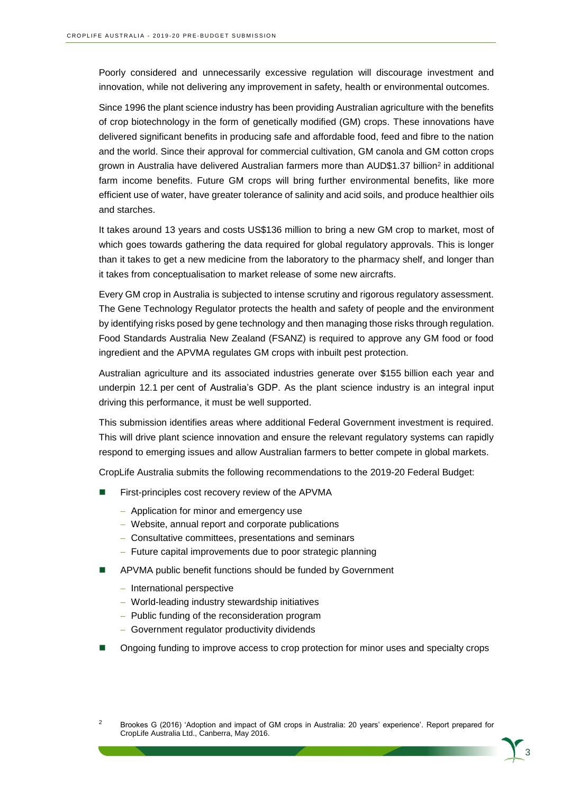Poorly considered and unnecessarily excessive regulation will discourage investment and innovation, while not delivering any improvement in safety, health or environmental outcomes.

Since 1996 the plant science industry has been providing Australian agriculture with the benefits of crop biotechnology in the form of genetically modified (GM) crops. These innovations have delivered significant benefits in producing safe and affordable food, feed and fibre to the nation and the world. Since their approval for commercial cultivation, GM canola and GM cotton crops grown in Australia have delivered Australian farmers more than AUD\$1.37 billion<sup>2</sup> in additional farm income benefits. Future GM crops will bring further environmental benefits, like more efficient use of water, have greater tolerance of salinity and acid soils, and produce healthier oils and starches.

It takes around 13 years and costs US\$136 million to bring a new GM crop to market, most of which goes towards gathering the data required for global regulatory approvals. This is longer than it takes to get a new medicine from the laboratory to the pharmacy shelf, and longer than it takes from conceptualisation to market release of some new aircrafts.

Every GM crop in Australia is subjected to intense scrutiny and rigorous regulatory assessment. The Gene Technology Regulator protects the health and safety of people and the environment by identifying risks posed by gene technology and then managing those risks through regulation. Food Standards Australia New Zealand (FSANZ) is required to approve any GM food or food ingredient and the APVMA regulates GM crops with inbuilt pest protection.

Australian agriculture and its associated industries generate over \$155 billion each year and underpin 12.1 per cent of Australia's GDP. As the plant science industry is an integral input driving this performance, it must be well supported.

This submission identifies areas where additional Federal Government investment is required. This will drive plant science innovation and ensure the relevant regulatory systems can rapidly respond to emerging issues and allow Australian farmers to better compete in global markets.

CropLife Australia submits the following recommendations to the 2019-20 Federal Budget:

- First-principles cost recovery review of the APVMA
	- − Application for minor and emergency use
	- − Website, annual report and corporate publications
	- − Consultative committees, presentations and seminars
	- − Future capital improvements due to poor strategic planning
- APVMA public benefit functions should be funded by Government
	- − International perspective
	- − World-leading industry stewardship initiatives
	- − Public funding of the reconsideration program
	- − Government regulator productivity dividends
- ◼ Ongoing funding to improve access to crop protection for minor uses and specialty crops

<sup>2</sup> Brookes G (2016) 'Adoption and impact of GM crops in Australia: 20 years' experience'. Report prepared for CropLife Australia Ltd., Canberra, May 2016.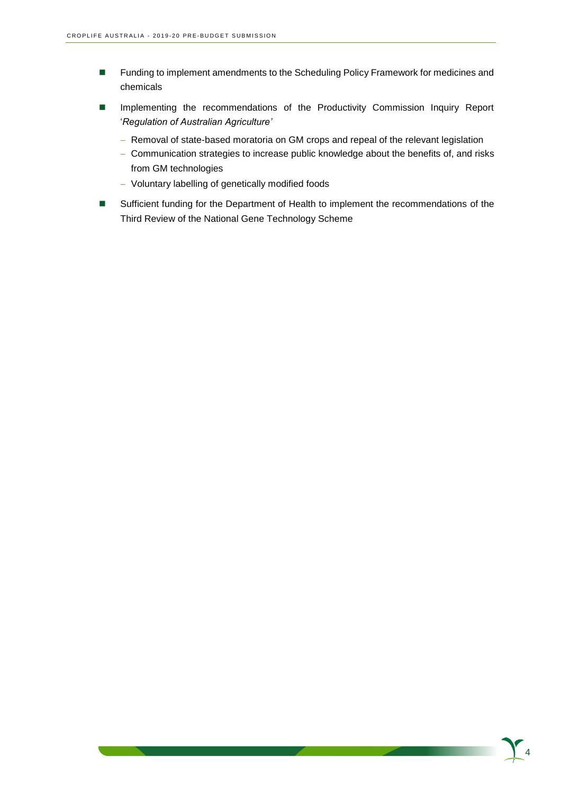- Funding to implement amendments to the Scheduling Policy Framework for medicines and chemicals
- Implementing the recommendations of the Productivity Commission Inquiry Report '*Regulation of Australian Agriculture'*
	- − Removal of state-based moratoria on GM crops and repeal of the relevant legislation
	- − Communication strategies to increase public knowledge about the benefits of, and risks from GM technologies
	- − Voluntary labelling of genetically modified foods
- Sufficient funding for the Department of Health to implement the recommendations of the Third Review of the National Gene Technology Scheme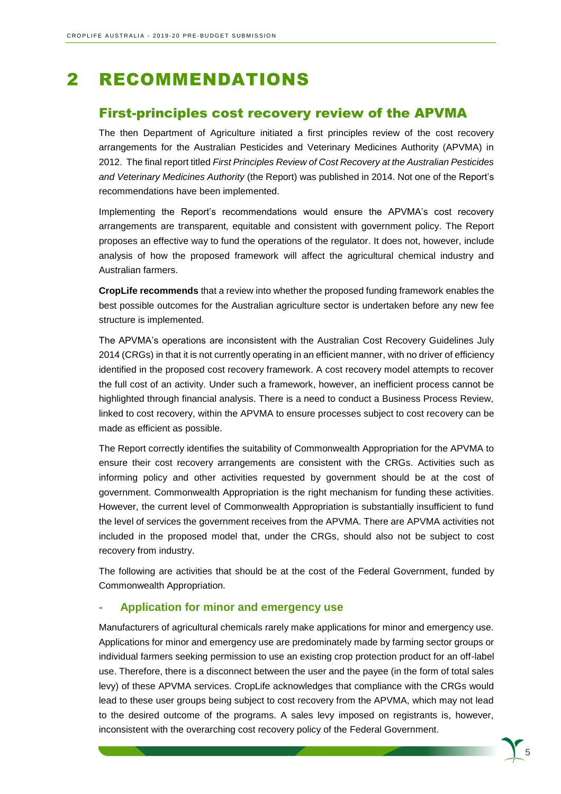## 2 RECOMMENDATIONS

#### First-principles cost recovery review of the APVMA

The then Department of Agriculture initiated a first principles review of the cost recovery arrangements for the Australian Pesticides and Veterinary Medicines Authority (APVMA) in 2012. The final report titled *First Principles Review of Cost Recovery at the Australian Pesticides and Veterinary Medicines Authority* (the Report) was published in 2014. Not one of the Report's recommendations have been implemented.

Implementing the Report's recommendations would ensure the APVMA's cost recovery arrangements are transparent, equitable and consistent with government policy. The Report proposes an effective way to fund the operations of the regulator. It does not, however, include analysis of how the proposed framework will affect the agricultural chemical industry and Australian farmers.

**CropLife recommends** that a review into whether the proposed funding framework enables the best possible outcomes for the Australian agriculture sector is undertaken before any new fee structure is implemented.

The APVMA's operations are inconsistent with the Australian Cost Recovery Guidelines July 2014 (CRGs) in that it is not currently operating in an efficient manner, with no driver of efficiency identified in the proposed cost recovery framework. A cost recovery model attempts to recover the full cost of an activity. Under such a framework, however, an inefficient process cannot be highlighted through financial analysis. There is a need to conduct a Business Process Review, linked to cost recovery, within the APVMA to ensure processes subject to cost recovery can be made as efficient as possible.

The Report correctly identifies the suitability of Commonwealth Appropriation for the APVMA to ensure their cost recovery arrangements are consistent with the CRGs. Activities such as informing policy and other activities requested by government should be at the cost of government. Commonwealth Appropriation is the right mechanism for funding these activities. However, the current level of Commonwealth Appropriation is substantially insufficient to fund the level of services the government receives from the APVMA. There are APVMA activities not included in the proposed model that, under the CRGs, should also not be subject to cost recovery from industry.

The following are activities that should be at the cost of the Federal Government, funded by Commonwealth Appropriation.

#### **- Application for minor and emergency use**

Manufacturers of agricultural chemicals rarely make applications for minor and emergency use. Applications for minor and emergency use are predominately made by farming sector groups or individual farmers seeking permission to use an existing crop protection product for an off-label use. Therefore, there is a disconnect between the user and the payee (in the form of total sales levy) of these APVMA services. CropLife acknowledges that compliance with the CRGs would lead to these user groups being subject to cost recovery from the APVMA, which may not lead to the desired outcome of the programs. A sales levy imposed on registrants is, however, inconsistent with the overarching cost recovery policy of the Federal Government.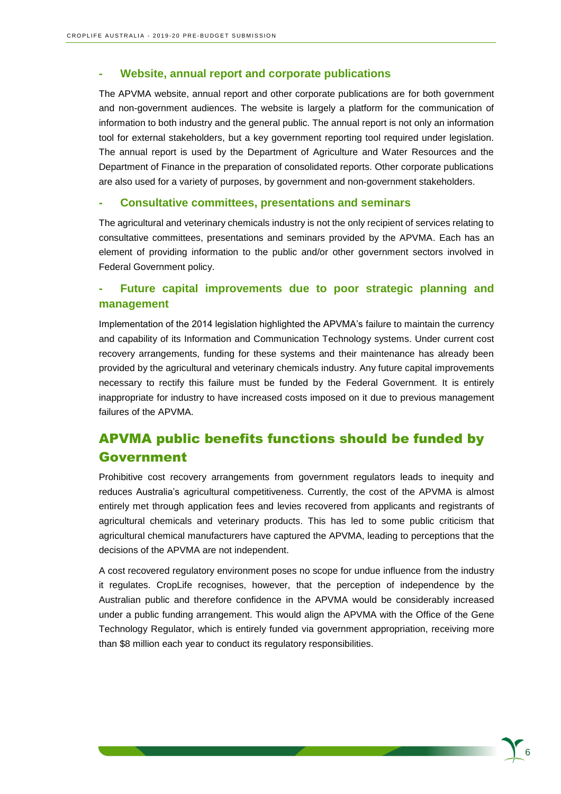#### **- Website, annual report and corporate publications**

The APVMA website, annual report and other corporate publications are for both government and non-government audiences. The website is largely a platform for the communication of information to both industry and the general public. The annual report is not only an information tool for external stakeholders, but a key government reporting tool required under legislation. The annual report is used by the Department of Agriculture and Water Resources and the Department of Finance in the preparation of consolidated reports. Other corporate publications are also used for a variety of purposes, by government and non-government stakeholders.

#### **- Consultative committees, presentations and seminars**

The agricultural and veterinary chemicals industry is not the only recipient of services relating to consultative committees, presentations and seminars provided by the APVMA. Each has an element of providing information to the public and/or other government sectors involved in Federal Government policy.

#### **- Future capital improvements due to poor strategic planning and management**

Implementation of the 2014 legislation highlighted the APVMA's failure to maintain the currency and capability of its Information and Communication Technology systems. Under current cost recovery arrangements, funding for these systems and their maintenance has already been provided by the agricultural and veterinary chemicals industry. Any future capital improvements necessary to rectify this failure must be funded by the Federal Government. It is entirely inappropriate for industry to have increased costs imposed on it due to previous management failures of the APVMA.

## APVMA public benefits functions should be funded by Government

Prohibitive cost recovery arrangements from government regulators leads to inequity and reduces Australia's agricultural competitiveness. Currently, the cost of the APVMA is almost entirely met through application fees and levies recovered from applicants and registrants of agricultural chemicals and veterinary products. This has led to some public criticism that agricultural chemical manufacturers have captured the APVMA, leading to perceptions that the decisions of the APVMA are not independent.

A cost recovered regulatory environment poses no scope for undue influence from the industry it regulates. CropLife recognises, however, that the perception of independence by the Australian public and therefore confidence in the APVMA would be considerably increased under a public funding arrangement. This would align the APVMA with the Office of the Gene Technology Regulator, which is entirely funded via government appropriation, receiving more than \$8 million each year to conduct its regulatory responsibilities.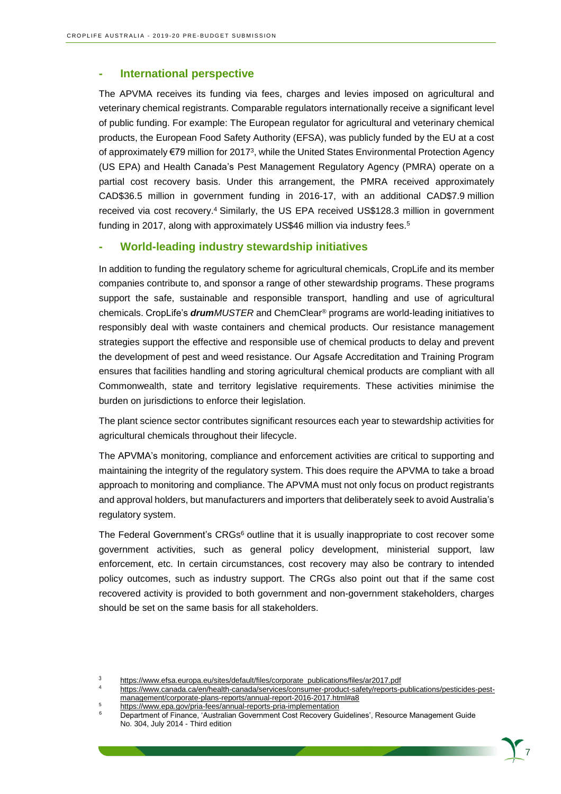#### **- International perspective**

The APVMA receives its funding via fees, charges and levies imposed on agricultural and veterinary chemical registrants. Comparable regulators internationally receive a significant level of public funding. For example: The European regulator for agricultural and veterinary chemical products, the European Food Safety Authority (EFSA), was publicly funded by the EU at a cost of approximately €79 million for 2017<sup>3</sup>, while the United States Environmental Protection Agency (US EPA) and Health Canada's Pest Management Regulatory Agency (PMRA) operate on a partial cost recovery basis. Under this arrangement, the PMRA received approximately CAD\$36.5 million in government funding in 2016-17, with an additional CAD\$7.9 million received via cost recovery.<sup>4</sup> Similarly, the US EPA received US\$128.3 million in government funding in 2017, along with approximately US\$46 million via industry fees.<sup>5</sup>

#### **- World-leading industry stewardship initiatives**

In addition to funding the regulatory scheme for agricultural chemicals, CropLife and its member companies contribute to, and sponsor a range of other stewardship programs. These programs support the safe, sustainable and responsible transport, handling and use of agricultural chemicals. CropLife's *drumMUSTER* and ChemClear® programs are world-leading initiatives to responsibly deal with waste containers and chemical products. Our resistance management strategies support the effective and responsible use of chemical products to delay and prevent the development of pest and weed resistance. Our Agsafe Accreditation and Training Program ensures that facilities handling and storing agricultural chemical products are compliant with all Commonwealth, state and territory legislative requirements. These activities minimise the burden on jurisdictions to enforce their legislation.

The plant science sector contributes significant resources each year to stewardship activities for agricultural chemicals throughout their lifecycle.

The APVMA's monitoring, compliance and enforcement activities are critical to supporting and maintaining the integrity of the regulatory system. This does require the APVMA to take a broad approach to monitoring and compliance. The APVMA must not only focus on product registrants and approval holders, but manufacturers and importers that deliberately seek to avoid Australia's regulatory system.

The Federal Government's CRGs<sup>6</sup> outline that it is usually inappropriate to cost recover some government activities, such as general policy development, ministerial support, law enforcement, etc. In certain circumstances, cost recovery may also be contrary to intended policy outcomes, such as industry support. The CRGs also point out that if the same cost recovered activity is provided to both government and non-government stakeholders, charges should be set on the same basis for all stakeholders.

<sup>3</sup> [https://www.efsa.europa.eu/sites/default/files/corporate\\_publications/files/ar2017.pdf](https://www.efsa.europa.eu/sites/default/files/corporate_publications/files/ar2017.pdf)

<sup>4</sup> [https://www.canada.ca/en/health-canada/services/consumer-product-safety/reports-publications/pesticides-pest](https://www.canada.ca/en/health-canada/services/consumer-product-safety/reports-publications/pesticides-pest-management/corporate-plans-reports/annual-report-2016-2017.html#a8)[management/corporate-plans-reports/annual-report-2016-2017.html#a8](https://www.canada.ca/en/health-canada/services/consumer-product-safety/reports-publications/pesticides-pest-management/corporate-plans-reports/annual-report-2016-2017.html#a8)

<sup>5</sup> <https://www.epa.gov/pria-fees/annual-reports-pria-implementation>

<sup>6</sup> Department of Finance, 'Australian Government Cost Recovery Guidelines', Resource Management Guide No. 304, July 2014 - Third edition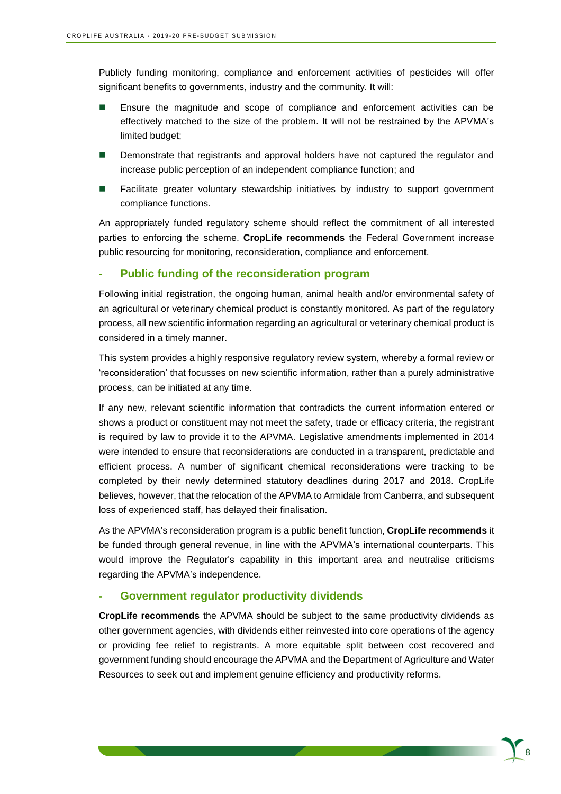Publicly funding monitoring, compliance and enforcement activities of pesticides will offer significant benefits to governments, industry and the community. It will:

- Ensure the magnitude and scope of compliance and enforcement activities can be effectively matched to the size of the problem. It will not be restrained by the APVMA's limited budget;
- Demonstrate that registrants and approval holders have not captured the regulator and increase public perception of an independent compliance function; and
- Facilitate greater voluntary stewardship initiatives by industry to support government compliance functions.

An appropriately funded regulatory scheme should reflect the commitment of all interested parties to enforcing the scheme. **CropLife recommends** the Federal Government increase public resourcing for monitoring, reconsideration, compliance and enforcement.

#### **- Public funding of the reconsideration program**

Following initial registration, the ongoing human, animal health and/or environmental safety of an agricultural or veterinary chemical product is constantly monitored. As part of the regulatory process, all new scientific information regarding an agricultural or veterinary chemical product is considered in a timely manner.

This system provides a highly responsive regulatory review system, whereby a formal review or 'reconsideration' that focusses on new scientific information, rather than a purely administrative process, can be initiated at any time.

If any new, relevant scientific information that contradicts the current information entered or shows a product or constituent may not meet the safety, trade or efficacy criteria, the registrant is required by law to provide it to the APVMA. Legislative amendments implemented in 2014 were intended to ensure that reconsiderations are conducted in a transparent, predictable and efficient process. A number of significant chemical reconsiderations were tracking to be completed by their newly determined statutory deadlines during 2017 and 2018. CropLife believes, however, that the relocation of the APVMA to Armidale from Canberra, and subsequent loss of experienced staff, has delayed their finalisation.

As the APVMA's reconsideration program is a public benefit function, **CropLife recommends** it be funded through general revenue, in line with the APVMA's international counterparts. This would improve the Regulator's capability in this important area and neutralise criticisms regarding the APVMA's independence.

#### **- Government regulator productivity dividends**

**CropLife recommends** the APVMA should be subject to the same productivity dividends as other government agencies, with dividends either reinvested into core operations of the agency or providing fee relief to registrants. A more equitable split between cost recovered and government funding should encourage the APVMA and the Department of Agriculture and Water Resources to seek out and implement genuine efficiency and productivity reforms.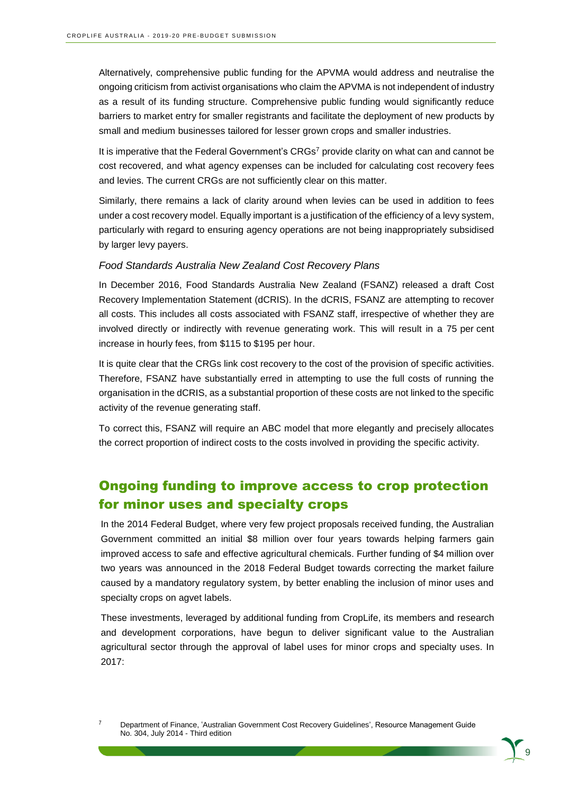Alternatively, comprehensive public funding for the APVMA would address and neutralise the ongoing criticism from activist organisations who claim the APVMA is not independent of industry as a result of its funding structure. Comprehensive public funding would significantly reduce barriers to market entry for smaller registrants and facilitate the deployment of new products by small and medium businesses tailored for lesser grown crops and smaller industries.

It is imperative that the Federal Government's CRGs<sup>7</sup> provide clarity on what can and cannot be cost recovered, and what agency expenses can be included for calculating cost recovery fees and levies. The current CRGs are not sufficiently clear on this matter.

Similarly, there remains a lack of clarity around when levies can be used in addition to fees under a cost recovery model. Equally important is a justification of the efficiency of a levy system, particularly with regard to ensuring agency operations are not being inappropriately subsidised by larger levy payers.

#### *Food Standards Australia New Zealand Cost Recovery Plans*

In December 2016, Food Standards Australia New Zealand (FSANZ) released a draft Cost Recovery Implementation Statement (dCRIS). In the dCRIS, FSANZ are attempting to recover all costs. This includes all costs associated with FSANZ staff, irrespective of whether they are involved directly or indirectly with revenue generating work. This will result in a 75 per cent increase in hourly fees, from \$115 to \$195 per hour.

It is quite clear that the CRGs link cost recovery to the cost of the provision of specific activities. Therefore, FSANZ have substantially erred in attempting to use the full costs of running the organisation in the dCRIS, as a substantial proportion of these costs are not linked to the specific activity of the revenue generating staff.

To correct this, FSANZ will require an ABC model that more elegantly and precisely allocates the correct proportion of indirect costs to the costs involved in providing the specific activity.

## Ongoing funding to improve access to crop protection for minor uses and specialty crops

In the 2014 Federal Budget, where very few project proposals received funding, the Australian Government committed an initial \$8 million over four years towards helping farmers gain improved access to safe and effective agricultural chemicals. Further funding of \$4 million over two years was announced in the 2018 Federal Budget towards correcting the market failure caused by a mandatory regulatory system, by better enabling the inclusion of minor uses and specialty crops on agvet labels.

These investments, leveraged by additional funding from CropLife, its members and research and development corporations, have begun to deliver significant value to the Australian agricultural sector through the approval of label uses for minor crops and specialty uses. In 2017:

<sup>7</sup> Department of Finance, 'Australian Government Cost Recovery Guidelines', Resource Management Guide No. 304, July 2014 - Third edition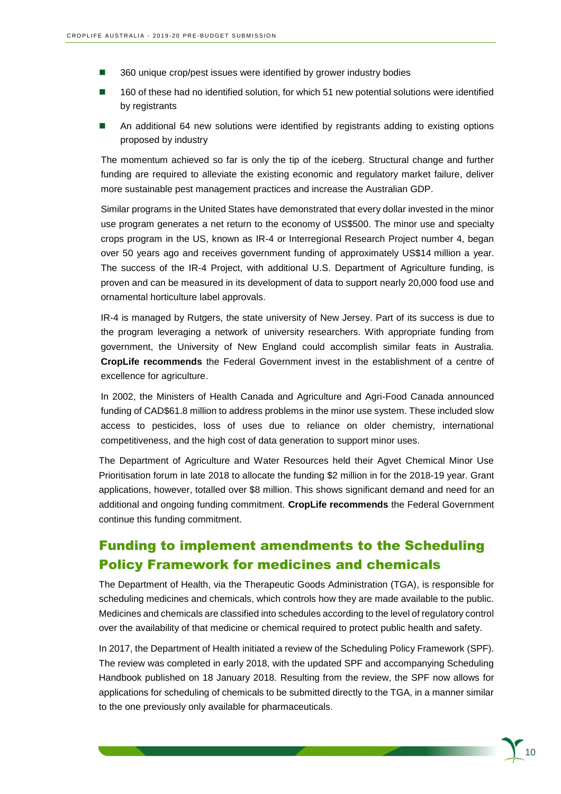- 360 unique crop/pest issues were identified by grower industry bodies
- 160 of these had no identified solution, for which 51 new potential solutions were identified by registrants
- An additional 64 new solutions were identified by registrants adding to existing options proposed by industry

The momentum achieved so far is only the tip of the iceberg. Structural change and further funding are required to alleviate the existing economic and regulatory market failure, deliver more sustainable pest management practices and increase the Australian GDP.

Similar programs in the United States have demonstrated that every dollar invested in the minor use program generates a net return to the economy of US\$500. The minor use and specialty crops program in the US, known as IR-4 or Interregional Research Project number 4, began over 50 years ago and receives government funding of approximately US\$14 million a year. The success of the IR-4 Project, with additional U.S. Department of Agriculture funding, is proven and can be measured in its development of data to support nearly 20,000 food use and ornamental horticulture label approvals.

IR-4 is managed by Rutgers, the state university of New Jersey. Part of its success is due to the program leveraging a network of university researchers. With appropriate funding from government, the University of New England could accomplish similar feats in Australia. **CropLife recommends** the Federal Government invest in the establishment of a centre of excellence for agriculture.

In 2002, the Ministers of Health Canada and Agriculture and Agri-Food Canada announced funding of CAD\$61.8 million to address problems in the minor use system. These included slow access to pesticides, loss of uses due to reliance on older chemistry, international competitiveness, and the high cost of data generation to support minor uses.

The Department of Agriculture and Water Resources held their Agvet Chemical Minor Use Prioritisation forum in late 2018 to allocate the funding \$2 million in for the 2018-19 year. Grant applications, however, totalled over \$8 million. This shows significant demand and need for an additional and ongoing funding commitment. **CropLife recommends** the Federal Government continue this funding commitment.

### Funding to implement amendments to the Scheduling Policy Framework for medicines and chemicals

The Department of Health, via the Therapeutic Goods Administration (TGA), is responsible for scheduling medicines and chemicals, which controls how they are made available to the public. Medicines and chemicals are classified into schedules according to the level of regulatory control over the availability of that medicine or chemical required to protect public health and safety.

In 2017, the Department of Health initiated a review of the Scheduling Policy Framework (SPF). The review was completed in early 2018, with the updated SPF and accompanying Scheduling Handbook published on 18 January 2018. Resulting from the review, the SPF now allows for applications for scheduling of chemicals to be submitted directly to the TGA, in a manner similar to the one previously only available for pharmaceuticals.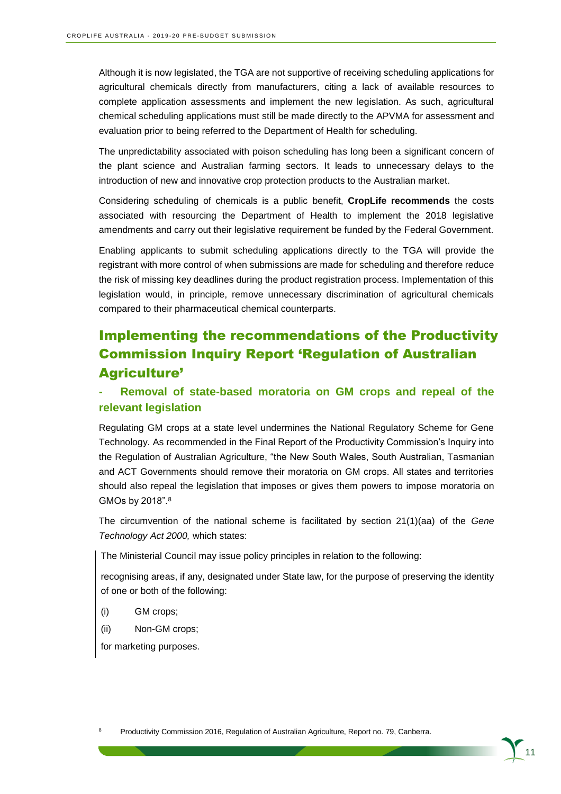Although it is now legislated, the TGA are not supportive of receiving scheduling applications for agricultural chemicals directly from manufacturers, citing a lack of available resources to complete application assessments and implement the new legislation. As such, agricultural chemical scheduling applications must still be made directly to the APVMA for assessment and evaluation prior to being referred to the Department of Health for scheduling.

The unpredictability associated with poison scheduling has long been a significant concern of the plant science and Australian farming sectors. It leads to unnecessary delays to the introduction of new and innovative crop protection products to the Australian market.

Considering scheduling of chemicals is a public benefit, **CropLife recommends** the costs associated with resourcing the Department of Health to implement the 2018 legislative amendments and carry out their legislative requirement be funded by the Federal Government.

Enabling applicants to submit scheduling applications directly to the TGA will provide the registrant with more control of when submissions are made for scheduling and therefore reduce the risk of missing key deadlines during the product registration process. Implementation of this legislation would, in principle, remove unnecessary discrimination of agricultural chemicals compared to their pharmaceutical chemical counterparts.

## Implementing the recommendations of the Productivity Commission Inquiry Report 'Regulation of Australian Agriculture'

#### **- Removal of state-based moratoria on GM crops and repeal of the relevant legislation**

Regulating GM crops at a state level undermines the National Regulatory Scheme for Gene Technology. As recommended in the Final Report of the Productivity Commission's Inquiry into the Regulation of Australian Agriculture, "the New South Wales, South Australian, Tasmanian and ACT Governments should remove their moratoria on GM crops. All states and territories should also repeal the legislation that imposes or gives them powers to impose moratoria on GMOs by 2018".<sup>8</sup>

The circumvention of the national scheme is facilitated by section 21(1)(aa) of the *Gene Technology Act 2000,* which states:

The Ministerial Council may issue policy principles in relation to the following:

recognising areas, if any, designated under State law, for the purpose of preserving the identity of one or both of the following:

- (i) GM crops;
- (ii) Non-GM crops;

for marketing purposes.

<sup>8</sup> Productivity Commission 2016, Regulation of Australian Agriculture, Report no. 79, Canberra.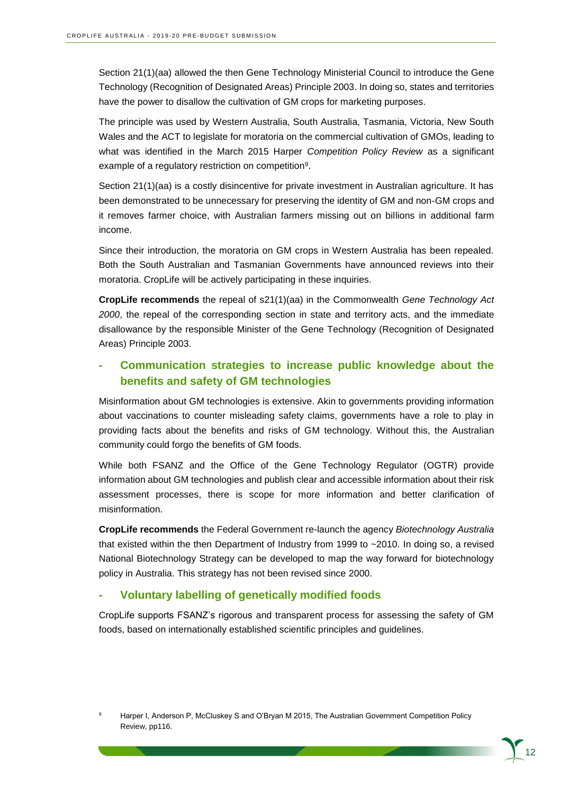Section 21(1)(aa) allowed the then Gene Technology Ministerial Council to introduce the Gene Technology (Recognition of Designated Areas) Principle 2003. In doing so, states and territories have the power to disallow the cultivation of GM crops for marketing purposes.

The principle was used by Western Australia, South Australia, Tasmania, Victoria, New South Wales and the ACT to legislate for moratoria on the commercial cultivation of GMOs, leading to what was identified in the March 2015 Harper *Competition Policy Review* as a significant example of a regulatory restriction on competition<sup>9</sup>.

Section 21(1)(aa) is a costly disincentive for private investment in Australian agriculture. It has been demonstrated to be unnecessary for preserving the identity of GM and non-GM crops and it removes farmer choice, with Australian farmers missing out on billions in additional farm income.

Since their introduction, the moratoria on GM crops in Western Australia has been repealed. Both the South Australian and Tasmanian Governments have announced reviews into their moratoria. CropLife will be actively participating in these inquiries.

**CropLife recommends** the repeal of s21(1)(aa) in the Commonwealth *Gene Technology Act 2000*, the repeal of the corresponding section in state and territory acts, and the immediate disallowance by the responsible Minister of the Gene Technology (Recognition of Designated Areas) Principle 2003.

#### **- Communication strategies to increase public knowledge about the benefits and safety of GM technologies**

Misinformation about GM technologies is extensive. Akin to governments providing information about vaccinations to counter misleading safety claims, governments have a role to play in providing facts about the benefits and risks of GM technology. Without this, the Australian community could forgo the benefits of GM foods.

While both FSANZ and the Office of the Gene Technology Regulator (OGTR) provide information about GM technologies and publish clear and accessible information about their risk assessment processes, there is scope for more information and better clarification of misinformation.

**CropLife recommends** the Federal Government re-launch the agency *Biotechnology Australia* that existed within the then Department of Industry from 1999 to ~2010. In doing so, a revised National Biotechnology Strategy can be developed to map the way forward for biotechnology policy in Australia. This strategy has not been revised since 2000.

#### **- Voluntary labelling of genetically modified foods**

CropLife supports FSANZ's rigorous and transparent process for assessing the safety of GM foods, based on internationally established scientific principles and guidelines.

Harper I, Anderson P, McCluskey S and O'Bryan M 2015, The Australian Government Competition Policy Review, pp116.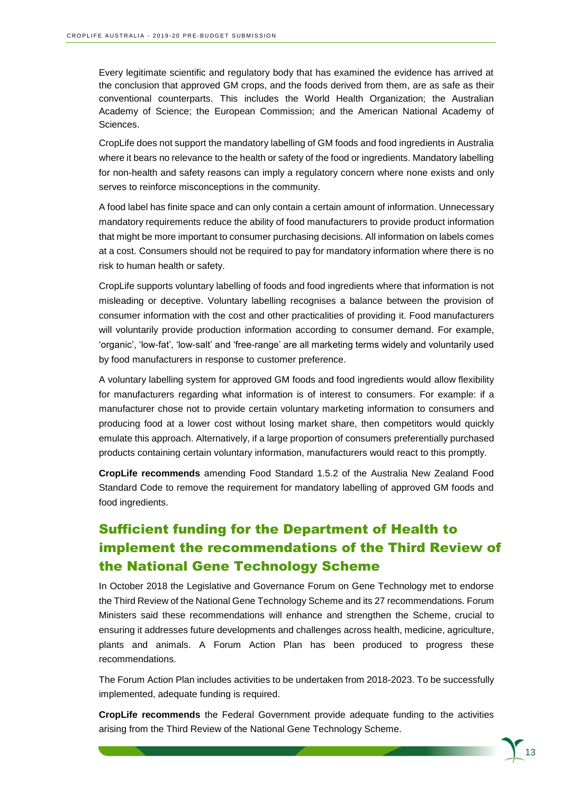Every legitimate scientific and regulatory body that has examined the evidence has arrived at the conclusion that approved GM crops, and the foods derived from them, are as safe as their conventional counterparts. This includes the World Health Organization; the Australian Academy of Science; the European Commission; and the American National Academy of Sciences.

CropLife does not support the mandatory labelling of GM foods and food ingredients in Australia where it bears no relevance to the health or safety of the food or ingredients. Mandatory labelling for non-health and safety reasons can imply a regulatory concern where none exists and only serves to reinforce misconceptions in the community.

A food label has finite space and can only contain a certain amount of information. Unnecessary mandatory requirements reduce the ability of food manufacturers to provide product information that might be more important to consumer purchasing decisions. All information on labels comes at a cost. Consumers should not be required to pay for mandatory information where there is no risk to human health or safety.

CropLife supports voluntary labelling of foods and food ingredients where that information is not misleading or deceptive. Voluntary labelling recognises a balance between the provision of consumer information with the cost and other practicalities of providing it. Food manufacturers will voluntarily provide production information according to consumer demand. For example, 'organic', 'low-fat', 'low-salt' and 'free-range' are all marketing terms widely and voluntarily used by food manufacturers in response to customer preference.

A voluntary labelling system for approved GM foods and food ingredients would allow flexibility for manufacturers regarding what information is of interest to consumers. For example: if a manufacturer chose not to provide certain voluntary marketing information to consumers and producing food at a lower cost without losing market share, then competitors would quickly emulate this approach. Alternatively, if a large proportion of consumers preferentially purchased products containing certain voluntary information, manufacturers would react to this promptly.

**CropLife recommends** amending Food Standard 1.5.2 of the Australia New Zealand Food Standard Code to remove the requirement for mandatory labelling of approved GM foods and food ingredients.

## Sufficient funding for the Department of Health to implement the recommendations of the Third Review of the National Gene Technology Scheme

In October 2018 the Legislative and Governance Forum on Gene Technology met to endorse the Third Review of the National Gene Technology Scheme and its 27 recommendations. Forum Ministers said these recommendations will enhance and strengthen the Scheme, crucial to ensuring it addresses future developments and challenges across health, medicine, agriculture, plants and animals. A Forum Action Plan has been produced to progress these recommendations.

The Forum Action Plan includes activities to be undertaken from 2018-2023. To be successfully implemented, adequate funding is required.

**CropLife recommends** the Federal Government provide adequate funding to the activities arising from the Third Review of the National Gene Technology Scheme.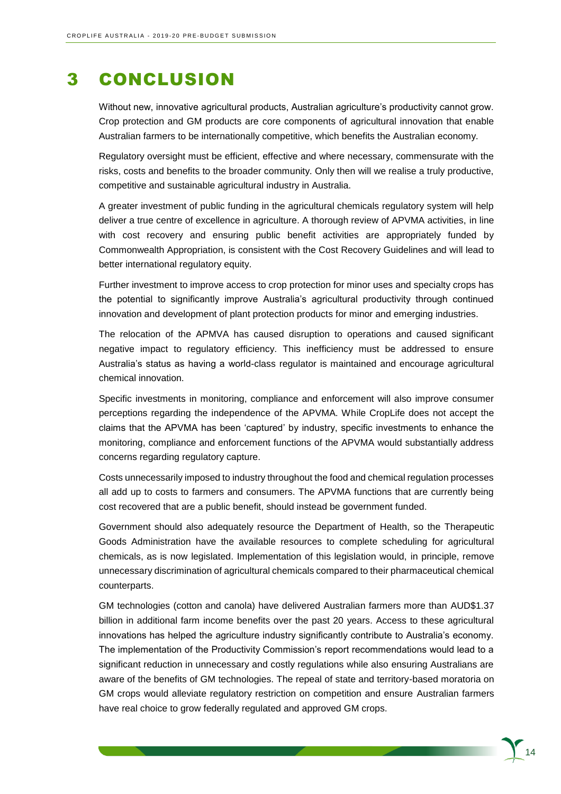## 3 CONCLUSION

Without new, innovative agricultural products, Australian agriculture's productivity cannot grow. Crop protection and GM products are core components of agricultural innovation that enable Australian farmers to be internationally competitive, which benefits the Australian economy.

Regulatory oversight must be efficient, effective and where necessary, commensurate with the risks, costs and benefits to the broader community. Only then will we realise a truly productive, competitive and sustainable agricultural industry in Australia.

A greater investment of public funding in the agricultural chemicals regulatory system will help deliver a true centre of excellence in agriculture. A thorough review of APVMA activities, in line with cost recovery and ensuring public benefit activities are appropriately funded by Commonwealth Appropriation, is consistent with the Cost Recovery Guidelines and will lead to better international regulatory equity.

Further investment to improve access to crop protection for minor uses and specialty crops has the potential to significantly improve Australia's agricultural productivity through continued innovation and development of plant protection products for minor and emerging industries.

The relocation of the APMVA has caused disruption to operations and caused significant negative impact to regulatory efficiency. This inefficiency must be addressed to ensure Australia's status as having a world-class regulator is maintained and encourage agricultural chemical innovation.

Specific investments in monitoring, compliance and enforcement will also improve consumer perceptions regarding the independence of the APVMA. While CropLife does not accept the claims that the APVMA has been 'captured' by industry, specific investments to enhance the monitoring, compliance and enforcement functions of the APVMA would substantially address concerns regarding regulatory capture.

Costs unnecessarily imposed to industry throughout the food and chemical regulation processes all add up to costs to farmers and consumers. The APVMA functions that are currently being cost recovered that are a public benefit, should instead be government funded.

Government should also adequately resource the Department of Health, so the Therapeutic Goods Administration have the available resources to complete scheduling for agricultural chemicals, as is now legislated. Implementation of this legislation would, in principle, remove unnecessary discrimination of agricultural chemicals compared to their pharmaceutical chemical counterparts.

GM technologies (cotton and canola) have delivered Australian farmers more than AUD\$1.37 billion in additional farm income benefits over the past 20 years. Access to these agricultural innovations has helped the agriculture industry significantly contribute to Australia's economy. The implementation of the Productivity Commission's report recommendations would lead to a significant reduction in unnecessary and costly regulations while also ensuring Australians are aware of the benefits of GM technologies. The repeal of state and territory-based moratoria on GM crops would alleviate regulatory restriction on competition and ensure Australian farmers have real choice to grow federally regulated and approved GM crops.